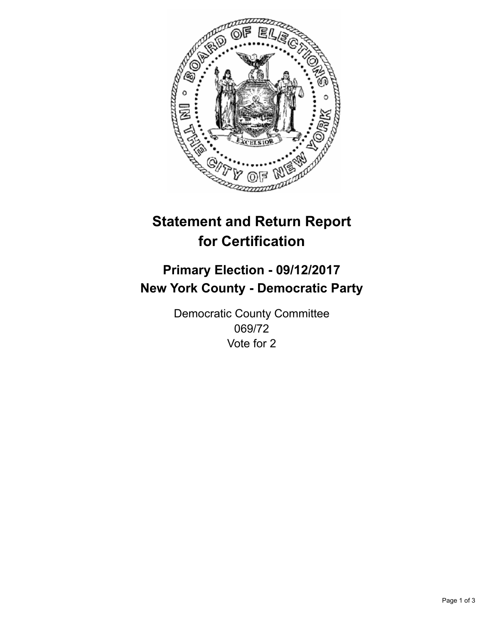

## **Statement and Return Report for Certification**

## **Primary Election - 09/12/2017 New York County - Democratic Party**

Democratic County Committee 069/72 Vote for 2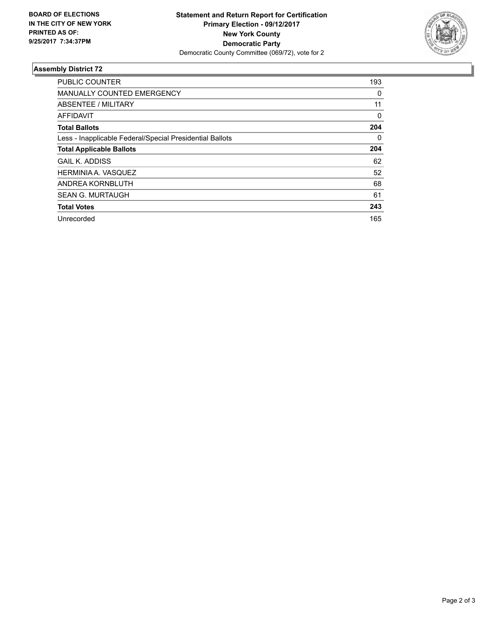

## **Assembly District 72**

| <b>PUBLIC COUNTER</b>                                    | 193 |
|----------------------------------------------------------|-----|
| <b>MANUALLY COUNTED EMERGENCY</b>                        | 0   |
| ABSENTEE / MILITARY                                      | 11  |
| AFFIDAVIT                                                | 0   |
| <b>Total Ballots</b>                                     | 204 |
| Less - Inapplicable Federal/Special Presidential Ballots | 0   |
| <b>Total Applicable Ballots</b>                          | 204 |
| <b>GAIL K. ADDISS</b>                                    | 62  |
| HERMINIA A. VASQUEZ                                      | 52  |
| ANDREA KORNBLUTH                                         | 68  |
| <b>SEAN G. MURTAUGH</b>                                  | 61  |
| <b>Total Votes</b>                                       | 243 |
| Unrecorded                                               | 165 |